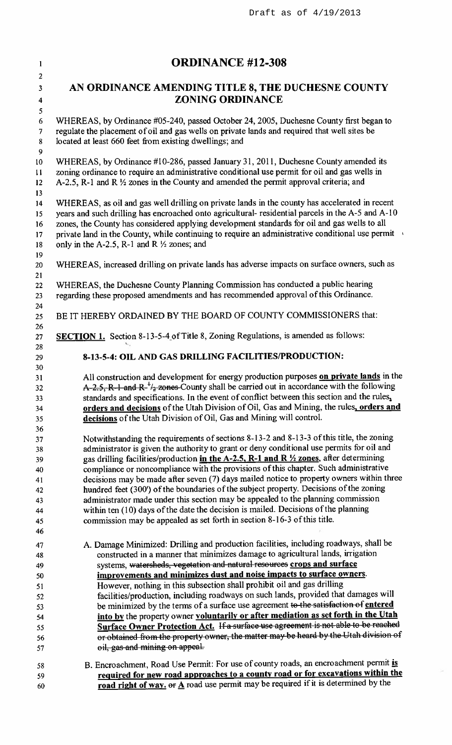| <b>ORDINANCE #12-308</b>                                                                                                                                                                                                                                                                                                                                                                                                                                                    |
|-----------------------------------------------------------------------------------------------------------------------------------------------------------------------------------------------------------------------------------------------------------------------------------------------------------------------------------------------------------------------------------------------------------------------------------------------------------------------------|
| AN ORDINANCE AMENDING TITLE 8, THE DUCHESNE COUNTY                                                                                                                                                                                                                                                                                                                                                                                                                          |
| <b>ZONING ORDINANCE</b>                                                                                                                                                                                                                                                                                                                                                                                                                                                     |
| WHEREAS, by Ordinance #05-240, passed October 24, 2005, Duchesne County first began to<br>regulate the placement of oil and gas wells on private lands and required that well sites be<br>located at least 660 feet from existing dwellings; and                                                                                                                                                                                                                            |
| WHEREAS, by Ordinance #10-286, passed January 31, 2011, Duchesne County amended its<br>zoning ordinance to require an administrative conditional use permit for oil and gas wells in<br>A-2.5, R-1 and R $\frac{1}{2}$ zones in the County and amended the permit approval criteria; and                                                                                                                                                                                    |
| WHEREAS, as oil and gas well drilling on private lands in the county has accelerated in recent<br>years and such drilling has encroached onto agricultural- residential parcels in the A-5 and A-10<br>zones, the County has considered applying development standards for oil and gas wells to all<br>private land in the County, while continuing to require an administrative conditional use permit<br>only in the A-2.5, R-1 and R $\frac{1}{2}$ zones; and            |
| WHEREAS, increased drilling on private lands has adverse impacts on surface owners, such as                                                                                                                                                                                                                                                                                                                                                                                 |
| WHEREAS, the Duchesne County Planning Commission has conducted a public hearing<br>regarding these proposed amendments and has recommended approval of this Ordinance.                                                                                                                                                                                                                                                                                                      |
| BE IT HEREBY ORDAINED BY THE BOARD OF COUNTY COMMISSIONERS that:                                                                                                                                                                                                                                                                                                                                                                                                            |
| <b>SECTION 1.</b> Section 8-13-5-4 of Title 8, Zoning Regulations, is amended as follows:                                                                                                                                                                                                                                                                                                                                                                                   |
| 8-13-5-4: OIL AND GAS DRILLING FACILITIES/PRODUCTION:                                                                                                                                                                                                                                                                                                                                                                                                                       |
|                                                                                                                                                                                                                                                                                                                                                                                                                                                                             |
| All construction and development for energy production purposes on private lands in the<br>A-2.5, R-1 and R- $^{\frac{1}{2}}\frac{1}{2}$ zones County shall be carried out in accordance with the following<br>standards and specifications. In the event of conflict between this section and the rules,<br>orders and decisions of the Utah Division of Oil, Gas and Mining, the rules, orders and<br>decisions of the Utah Division of Oil, Gas and Mining will control. |
|                                                                                                                                                                                                                                                                                                                                                                                                                                                                             |
| Notwithstanding the requirements of sections 8-13-2 and 8-13-3 of this title, the zoning                                                                                                                                                                                                                                                                                                                                                                                    |
| administrator is given the authority to grant or deny conditional use permits for oil and                                                                                                                                                                                                                                                                                                                                                                                   |
| gas drilling facilities/production in the A-2.5, R-1 and R 1/2 zones, after determining<br>compliance or noncompliance with the provisions of this chapter. Such administrative                                                                                                                                                                                                                                                                                             |
| decisions may be made after seven (7) days mailed notice to property owners within three                                                                                                                                                                                                                                                                                                                                                                                    |
| hundred feet (300') of the boundaries of the subject property. Decisions of the zoning                                                                                                                                                                                                                                                                                                                                                                                      |
| administrator made under this section may be appealed to the planning commission                                                                                                                                                                                                                                                                                                                                                                                            |
| within ten (10) days of the date the decision is mailed. Decisions of the planning                                                                                                                                                                                                                                                                                                                                                                                          |
| commission may be appealed as set forth in section 8-16-3 of this title.                                                                                                                                                                                                                                                                                                                                                                                                    |
|                                                                                                                                                                                                                                                                                                                                                                                                                                                                             |
| A. Damage Minimized: Drilling and production facilities, including roadways, shall be<br>constructed in a manner that minimizes damage to agricultural lands, irrigation                                                                                                                                                                                                                                                                                                    |
| systems, watersheds, vegetation and natural resources crops and surface                                                                                                                                                                                                                                                                                                                                                                                                     |
| improvements and minimizes dust and noise impacts to surface owners.                                                                                                                                                                                                                                                                                                                                                                                                        |
| However, nothing in this subsection shall prohibit oil and gas drilling                                                                                                                                                                                                                                                                                                                                                                                                     |
| facilities/production, including roadways on such lands, provided that damages will                                                                                                                                                                                                                                                                                                                                                                                         |
| be minimized by the terms of a surface use agreement to the satisfaction of entered                                                                                                                                                                                                                                                                                                                                                                                         |
| into by the property owner voluntarily or after mediation as set forth in the Utah                                                                                                                                                                                                                                                                                                                                                                                          |
| Surface Owner Protection Act. If a surface use agreement is not able to be reached<br>or obtained from the property owner, the matter may be heard by the Utah division of                                                                                                                                                                                                                                                                                                  |
| oil, gas and mining on appeal.                                                                                                                                                                                                                                                                                                                                                                                                                                              |
|                                                                                                                                                                                                                                                                                                                                                                                                                                                                             |
| B. Encroachment, Road Use Permit: For use of county roads, an encroachment permit is<br>required for new road approaches to a county road or for excavations within the                                                                                                                                                                                                                                                                                                     |
| road right of way. or A road use permit may be required if it is determined by the                                                                                                                                                                                                                                                                                                                                                                                          |
|                                                                                                                                                                                                                                                                                                                                                                                                                                                                             |

Draft as of 4/19/2013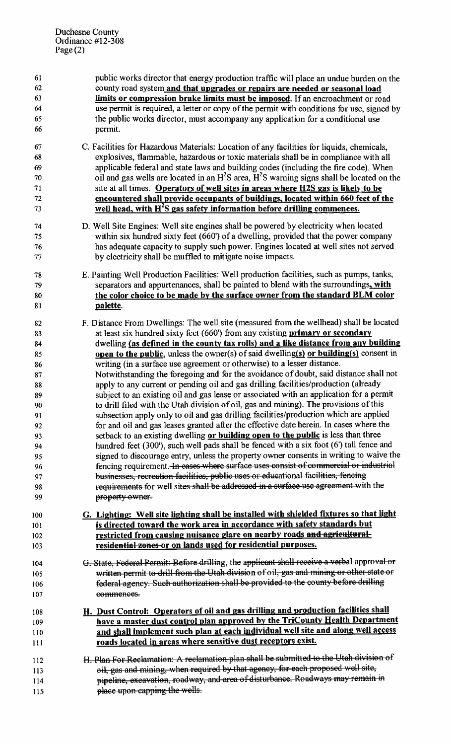| 61<br>62 | public works director that energy production traffic will place an undue burden on the<br>county road system and that upgrades or repairs are needed or seasonal load |
|----------|-----------------------------------------------------------------------------------------------------------------------------------------------------------------------|
| 63       | limits or compression brake limits must be imposed. If an encroachment or road                                                                                        |
| 64       | use permit is required, a letter or copy of the permit with conditions for use, signed by                                                                             |
| 65       | the public works director, must accompany any application for a conditional use                                                                                       |
| 66       | permit.                                                                                                                                                               |
|          |                                                                                                                                                                       |
| 67       | C. Facilities for Hazardous Materials: Location of any facilities for liquids, chemicals,                                                                             |
| 68       | explosives, flammable, hazardous or toxic materials shall be in compliance with all                                                                                   |
| 69       | applicable federal and state laws and building codes (including the fire code). When                                                                                  |
| 70       | oil and gas wells are located in an $H^2S$ area, $H^2S$ warning signs shall be located on the                                                                         |
| 71       | site at all times. Operators of well sites in areas where H2S gas is likely to be                                                                                     |
| 72       | encountered shall provide occupants of buildings, located within 660 feet of the                                                                                      |
| 73       | well head, with H <sup>2</sup> S gas safety information before drilling commences.                                                                                    |
| 74       | D. Well Site Engines: Well site engines shall be powered by electricity when located                                                                                  |
| 75       | within six hundred sixty feet (660') of a dwelling, provided that the power company                                                                                   |
| 76       | has adequate capacity to supply such power. Engines located at well sites not served                                                                                  |
| 77       | by electricity shall be muffled to mitigate noise impacts.                                                                                                            |
| 78       | E. Painting Well Production Facilities: Well production facilities, such as pumps, tanks,                                                                             |
| 79       | separators and appurtenances, shall be painted to blend with the surroundings, with                                                                                   |
| 80       | the color choice to be made by the surface owner from the standard BLM color                                                                                          |
| 81       | palette.                                                                                                                                                              |
| 82       | F. Distance From Dwellings: The well site (measured from the wellhead) shall be located                                                                               |
| 83       | at least six hundred sixty feet (660') from any existing <b>primary or secondary</b>                                                                                  |
| 84       | dwelling (as defined in the county tax rolls) and a like distance from any building                                                                                   |
| 85       | open to the public, unless the owner(s) of said dwelling(s) or building(s) consent in                                                                                 |
| 86       | writing (in a surface use agreement or otherwise) to a lesser distance.                                                                                               |
| 87       | Notwithstanding the foregoing and for the avoidance of doubt, said distance shall not                                                                                 |
| 88       | apply to any current or pending oil and gas drilling facilities/production (already                                                                                   |
| 89       | subject to an existing oil and gas lease or associated with an application for a permit                                                                               |
| 90       | to drill filed with the Utah division of oil, gas and mining). The provisions of this                                                                                 |
| 91       | subsection apply only to oil and gas drilling facilities/production which are applied                                                                                 |
| 92       | for and oil and gas leases granted after the effective date herein. In cases where the                                                                                |
| 93       | setback to an existing dwelling or building open to the public is less than three                                                                                     |
| 94       | hundred feet (300'), such well pads shall be fenced with a six foot (6') tall fence and                                                                               |
| 95       | signed to discourage entry, unless the property owner consents in writing to waive the                                                                                |
| 96       | fencing requirement. In cases where surface uses consist of commercial or industrial                                                                                  |
| 97       | businesses, recreation facilities, public uses or educational facilities, fencing                                                                                     |
| 98       | requirements for well sites shall be addressed in a surface use agreement with the                                                                                    |
| 99       | property owner.                                                                                                                                                       |
| 100      | G. Lighting: Well site lighting shall be installed with shielded fixtures so that light                                                                               |
| 101      | is directed toward the work area in accordance with safety standards but                                                                                              |
| 102      | restricted from causing nuisance glare on nearby roads and agricultural-                                                                                              |
| 103      | residential zones or on lands used for residential purposes.                                                                                                          |
| 104      | G. State, Federal Permit: Before drilling, the applicant shall receive a verbal approval or                                                                           |
| 105      | written permit to drill from the Utah division of oil, gas and mining or other state or                                                                               |
| 106      | federal agency. Such authorization shall be provided to the county before drilling                                                                                    |
| 107      | commences.                                                                                                                                                            |
| 108      | H. Dust Control: Operators of oil and gas drilling and production facilities shall                                                                                    |
| 109      | have a master dust control plan approved by the TriCounty Health Department                                                                                           |
| 110      | and shall implement such plan at each individual well site and along well access                                                                                      |
| 111      | roads located in areas where sensitive dust receptors exist.                                                                                                          |
|          |                                                                                                                                                                       |
| 112      | H. Plan For Reclamation: A reclamation plan shall be submitted to the Utah division of                                                                                |
| 113      | oil, gas and mining, when required by that agency, for each proposed well site,                                                                                       |
| 114      | pipeline, excavation, roadway, and area of disturbance. Roadways may remain in                                                                                        |
| 115      | place upon-capping the wells.                                                                                                                                         |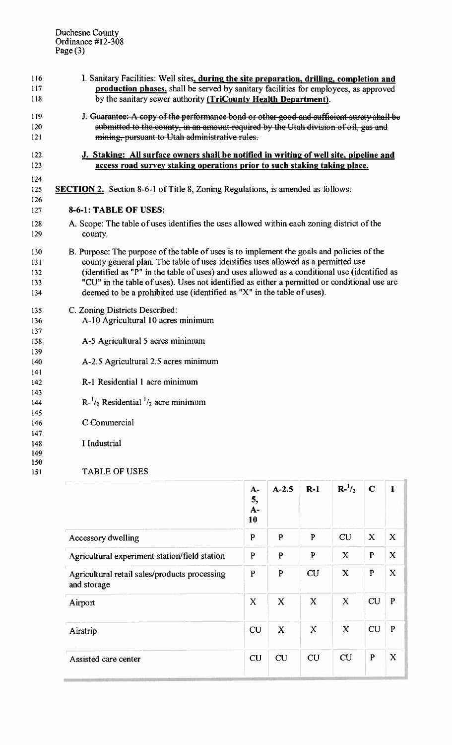| 116        | I. Sanitary Facilities: Well sites, during the site preparation, drilling, completion and     |
|------------|-----------------------------------------------------------------------------------------------|
| 117        | production phases, shall be served by sanitary facilities for employees, as approved          |
| 118        | by the sanitary sewer authority (TriCounty Health Department).                                |
| 119        | J. Guarantee: A copy of the performance bond or other good and sufficient surety shall be     |
| 120        | submitted to the county, in an amount-required by the Utah division of oil, gas and           |
| 121        | mining, pursuant to Utah administrative rules.                                                |
| 122        | J. Staking: All surface owners shall be notified in writing of well site, pipeline and        |
| 123        | access road survey staking operations prior to such staking taking place.                     |
| 124        |                                                                                               |
| 125        | <b>SECTION 2.</b> Section 8-6-1 of Title 8, Zoning Regulations, is amended as follows:        |
| 126        |                                                                                               |
| 127        | 8-6-1: TABLE OF USES:                                                                         |
| 128        | A. Scope: The table of uses identifies the uses allowed within each zoning district of the    |
| 129        | county.                                                                                       |
| 130        | B. Purpose: The purpose of the table of uses is to implement the goals and policies of the    |
| 131        | county general plan. The table of uses identifies uses allowed as a permitted use             |
| 132        | (identified as "P" in the table of uses) and uses allowed as a conditional use (identified as |
| 133        | "CU" in the table of uses). Uses not identified as either a permitted or conditional use are  |
| 134        | deemed to be a prohibited use (identified as "X" in the table of uses).                       |
| 135        | C. Zoning Districts Described:                                                                |
| 136        | A-10 Agricultural 10 acres minimum                                                            |
| 137        |                                                                                               |
| 138        | A-5 Agricultural 5 acres minimum                                                              |
| 139        |                                                                                               |
| 140        | A-2.5 Agricultural 2.5 acres minimum                                                          |
| 141        |                                                                                               |
| 142        | R-1 Residential 1 acre minimum                                                                |
| 143        |                                                                                               |
| 144        | $R^{-1/2}$ Residential $^{1/2}$ acre minimum                                                  |
| 145        | C Commercial                                                                                  |
| 146        |                                                                                               |
| 147        | I Industrial                                                                                  |
| 148<br>149 |                                                                                               |
| 150        |                                                                                               |
| 151        | <b>TABLE OF USES</b>                                                                          |

|                                                              | $A-$<br>5,<br>$A-$<br>10 | $A - 2.5$        | $R-1$        | $R^{-1}/_{2}$ | $\mathbf C$  | $\mathbf I$  |
|--------------------------------------------------------------|--------------------------|------------------|--------------|---------------|--------------|--------------|
| Accessory dwelling                                           | $\mathbf{P}$             | $\mathbf{P}$     | P            | <b>CU</b>     | X            | X            |
| Agricultural experiment station/field station                | ${\bf P}$                | $\mathbf{P}$     | P            | $\mathbf X$   | $\mathbf P$  | X            |
| Agricultural retail sales/products processing<br>and storage | $\mathbf P$              | $\mathbf P$      | <b>CU</b>    | X             | $\mathbf{P}$ | X            |
| Airport                                                      | $\mathbf x$              | $\boldsymbol{X}$ | $\mathbf{X}$ | X             | <b>CU</b>    | $\mathbf{P}$ |
| Airstrip                                                     | CU                       | $\mathbf{X}$     | X            | $\mathbf X$   | CU           | P            |
| Assisted care center                                         | CU                       | CU               | CU           | CU            | $\mathbf P$  | $\mathbf X$  |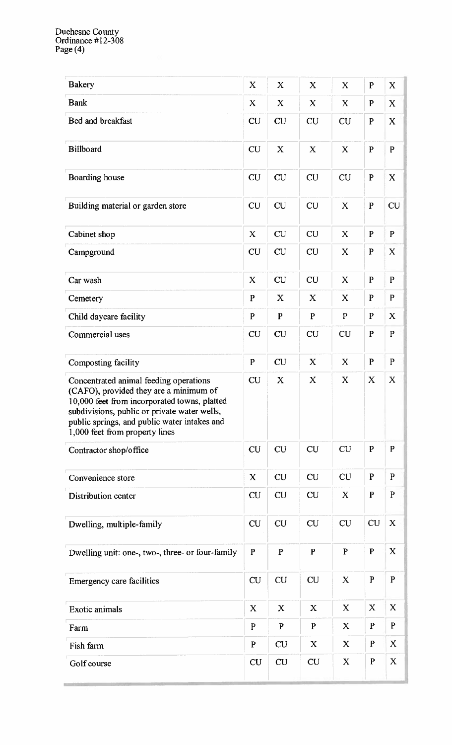| <b>Bakery</b>                                                                                                                                                                                                                                                      | X           | X            | X            | X            | $\mathbf{P}$ | $\mathbf X$  |
|--------------------------------------------------------------------------------------------------------------------------------------------------------------------------------------------------------------------------------------------------------------------|-------------|--------------|--------------|--------------|--------------|--------------|
| <b>Bank</b>                                                                                                                                                                                                                                                        | X           | X            | X            | X            | $\mathbf{P}$ | $\mathbf X$  |
| Bed and breakfast                                                                                                                                                                                                                                                  | <b>CU</b>   | <b>CU</b>    | <b>CU</b>    | <b>CU</b>    | $\mathbf{P}$ | X            |
| <b>Billboard</b>                                                                                                                                                                                                                                                   | <b>CU</b>   | $\mathbf X$  | X            | $\mathbf X$  | $\mathbf{P}$ | $\mathbf{P}$ |
| Boarding house                                                                                                                                                                                                                                                     | <b>CU</b>   | <b>CU</b>    | <b>CU</b>    | <b>CU</b>    | $\mathbf P$  | $\mathbf{X}$ |
| Building material or garden store                                                                                                                                                                                                                                  | <b>CU</b>   | <b>CU</b>    | <b>CU</b>    | X            | $\mathbf P$  | <b>CU</b>    |
| Cabinet shop                                                                                                                                                                                                                                                       | $\mathbf X$ | CU           | <b>CU</b>    | $\mathbf x$  | $\mathbf{P}$ | $\mathbf{P}$ |
| Campground                                                                                                                                                                                                                                                         | CU          | <b>CU</b>    | <b>CU</b>    | X            | $\mathbf{P}$ | X            |
| Car wash                                                                                                                                                                                                                                                           | X           | <b>CU</b>    | <b>CU</b>    | X            | $\mathbf P$  | $\mathbf{P}$ |
| Cemetery                                                                                                                                                                                                                                                           | $\mathbf P$ | X            | X            | X            | P            | $\mathbf{P}$ |
| Child daycare facility                                                                                                                                                                                                                                             | $\mathbf P$ | $\mathbf P$  | $\mathbf P$  | $\mathbf{P}$ | $\mathbf{P}$ | X            |
| Commercial uses                                                                                                                                                                                                                                                    | <b>CU</b>   | <b>CU</b>    | <b>CU</b>    | CU           | $\mathbf{P}$ | $\mathbf{P}$ |
| Composting facility                                                                                                                                                                                                                                                | $\mathbf P$ | <b>CU</b>    | X            | X            | $\mathbf{P}$ | $\mathbf{P}$ |
| Concentrated animal feeding operations<br>(CAFO), provided they are a minimum of<br>10,000 feet from incorporated towns, platted<br>subdivisions, public or private water wells,<br>public springs, and public water intakes and<br>1,000 feet from property lines | CU          | X            | X            | X            | X            | $\mathbf X$  |
| Contractor shop/office                                                                                                                                                                                                                                             | <b>CU</b>   | CU           | <b>CU</b>    | <b>CU</b>    | $\mathbf{P}$ | $\mathbf{P}$ |
| Convenience store                                                                                                                                                                                                                                                  | $\mathbf X$ | <b>CU</b>    | <b>CU</b>    | <b>CU</b>    | $\mathbf{P}$ | $\mathbf{P}$ |
| Distribution center                                                                                                                                                                                                                                                | <b>CU</b>   | <b>CU</b>    | CU           | X            | $\mathbf{P}$ | $\mathbf{P}$ |
| Dwelling, multiple-family                                                                                                                                                                                                                                          | <b>CU</b>   | <b>CU</b>    | <b>CU</b>    | <b>CU</b>    | <b>CU</b>    | X            |
| Dwelling unit: one-, two-, three- or four-family                                                                                                                                                                                                                   | ${\bf P}$   | $\mathbf{P}$ | $\mathbf{P}$ | $\mathbf{P}$ | $\mathbf P$  | $\mathbf X$  |
| Emergency care facilities                                                                                                                                                                                                                                          | <b>CU</b>   | <b>CU</b>    | <b>CU</b>    | $\mathbf X$  | P            | $\mathbf{P}$ |
| <b>Exotic animals</b>                                                                                                                                                                                                                                              | X           | X            | X            | X            | X            | X            |
| Farm                                                                                                                                                                                                                                                               | P           | $\mathbf P$  | $\mathbf P$  | X            | $\mathbf P$  | P            |
| Fish farm                                                                                                                                                                                                                                                          | P           | <b>CU</b>    | X            | X            | $\mathbf P$  | X            |
| Golf course                                                                                                                                                                                                                                                        | <b>CU</b>   | CU           | CU           | $\mathbf X$  | $\mathbf{P}$ | $\mathbf X$  |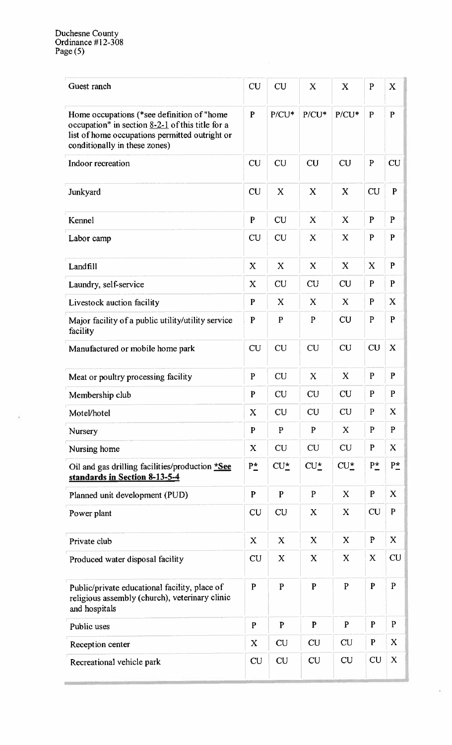| Guest ranch                                                                                                                                                                         | <b>CU</b>    | CU               | X                | X            | P            | $\bf{X}$     |
|-------------------------------------------------------------------------------------------------------------------------------------------------------------------------------------|--------------|------------------|------------------|--------------|--------------|--------------|
| Home occupations (*see definition of "home<br>occupation" in section $8-2-1$ of this title for a<br>list of home occupations permitted outright or<br>conditionally in these zones) | $\mathbf{P}$ | $P/CU^*$         | $P/CU^*$         | $P/CU^*$     | $\mathbf{P}$ | $\mathbf{P}$ |
| Indoor recreation                                                                                                                                                                   | <b>CU</b>    | <b>CU</b>        | <b>CU</b>        | <b>CU</b>    | $\mathbf{P}$ | <b>CU</b>    |
| Junkyard                                                                                                                                                                            | CU           | $\mathbf X$      | $\mathbf X$      | $\mathbf x$  | <b>CU</b>    | $\mathbf{P}$ |
| Kennel                                                                                                                                                                              | P            | <b>CU</b>        | X                | X            | $\mathbf{P}$ | $\mathbf{P}$ |
| Labor camp                                                                                                                                                                          | <b>CU</b>    | <b>CU</b>        | X                | X            | $\mathbf P$  | P            |
| Landfill                                                                                                                                                                            | $\mathbf X$  | $\boldsymbol{X}$ | $\mathbf X$      | $\mathbf X$  | $\mathbf X$  | $\mathbf{P}$ |
| Laundry, self-service                                                                                                                                                               | X            | <b>CU</b>        | <b>CU</b>        | <b>CU</b>    | P            | P            |
| Livestock auction facility                                                                                                                                                          | $\mathbf{P}$ | X                | X                | X            | P            | X            |
| Major facility of a public utility/utility service<br>facility                                                                                                                      | $\mathbf P$  | $\mathbf P$      | ${\bf P}$        | CU           | $\mathbf{P}$ | P            |
| Manufactured or mobile home park                                                                                                                                                    | <b>CU</b>    | CU               | CU               | <b>CU</b>    | <b>CU</b>    | X            |
| Meat or poultry processing facility                                                                                                                                                 | ${\bf P}$    | CU               | X                | $\mathbf{X}$ | $\mathbf{P}$ | P            |
| Membership club                                                                                                                                                                     | P            | CU               | <b>CU</b>        | <b>CU</b>    | $\mathbf{P}$ | P            |
| Motel/hotel                                                                                                                                                                         | X            | <b>CU</b>        | <b>CU</b>        | <b>CU</b>    | ${\bf P}$    | X            |
| Nursery                                                                                                                                                                             | $\mathbf P$  | $\mathbf{P}$     | ${\bf P}$        | X            | $\mathbf P$  | $\mathbf{P}$ |
| Nursing home                                                                                                                                                                        | X            | <b>CU</b>        | <b>CU</b>        | <b>CU</b>    | $\mathbf{P}$ | $\mathbf X$  |
| Oil and gas drilling facilities/production *See<br>standards in Section 8-13-5-4                                                                                                    | $P_{-}^*$    | $CU_{-}^*$       | $CU_{-}^{\star}$ | $CU_{-}^*$   | $P_{-}^*$    | $P^*_-$      |
| Planned unit development (PUD)                                                                                                                                                      | ${\bf P}$    | $\mathbf P$      | $\mathbf P$      | X            | $\mathbf P$  | X            |
| Power plant                                                                                                                                                                         | <b>CU</b>    | <b>CU</b>        | X                | X            | <b>CU</b>    | $\mathbf{P}$ |
| Private club                                                                                                                                                                        | $\mathbf X$  | $\mathbf X$      | X                | X            | $\mathbf P$  | $\mathbf X$  |
| Produced water disposal facility                                                                                                                                                    | CU           | X                | $\mathbf X$      | $\mathbf X$  | X            | <b>CU</b>    |
| Public/private educational facility, place of<br>religious assembly (church), veterinary clinic<br>and hospitals                                                                    | $\mathbf P$  | $\mathbf{P}$     | $\mathbf P$      | $\mathbf{P}$ | P            | $\mathbf{P}$ |
| Public uses                                                                                                                                                                         | $\mathbf P$  | $\mathbf{P}$     | $\mathbf{P}$     | $\mathbf{P}$ | $\mathbf P$  | $\mathbf{P}$ |
| Reception center                                                                                                                                                                    | X            | <b>CU</b>        | <b>CU</b>        | <b>CU</b>    | $\mathbf P$  | $\mathbf X$  |
| Recreational vehicle park                                                                                                                                                           | <b>CU</b>    | <b>CU</b>        | <b>CU</b>        | <b>CU</b>    | <b>CU</b>    | $\mathbf X$  |

à.

g,